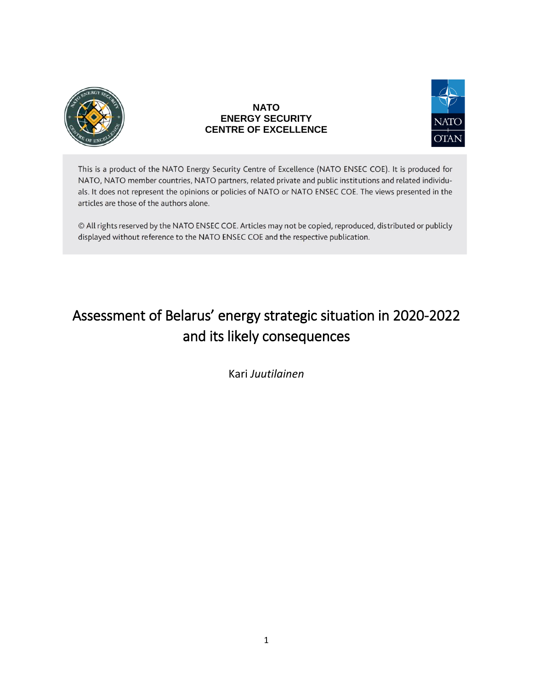

## **NATO ENERGY SECURITY CENTRE OF EXCELLENCE**



This is a product of the NATO Energy Security Centre of Excellence (NATO ENSEC COE). It is produced for NATO, NATO member countries, NATO partners, related private and public institutions and related individuals. It does not represent the opinions or policies of NATO or NATO ENSEC COE. The views presented in the articles are those of the authors alone.

© All rights reserved by the NATO ENSEC COE. Articles may not be copied, reproduced, distributed or publicly displayed without reference to the NATO ENSEC COE and the respective publication.

# Assessment of Belarus' energy strategic situation in 2020-2022 and its likely consequences

Kari *Juutilainen*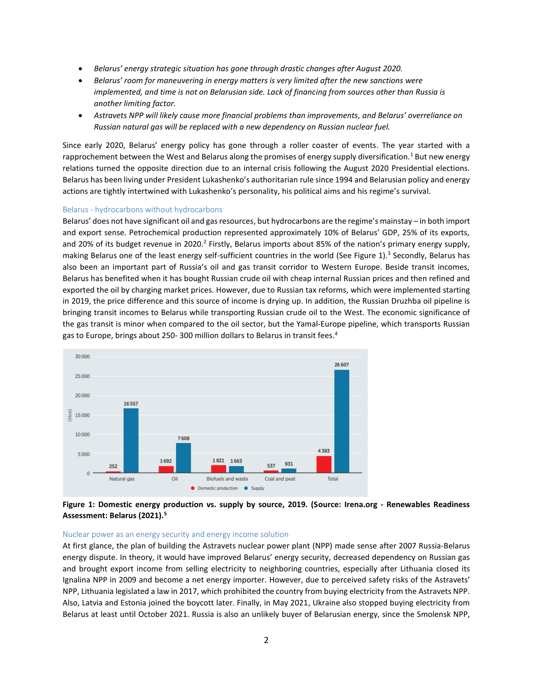- *Belarus' energy strategic situation has gone through drastic changes after August 2020.*
- *Belarus' room for maneuvering in energy matters is very limited after the new sanctions were implemented, and time is not on Belarusian side. Lack of financing from sources other than Russia is another limiting factor.*
- Astravets NPP will likely cause more financial problems than improvements, and Belarus' overreliance on *Russian natural gas will be replaced with a new dependency on Russian nuclear fuel.*

Since early 2020, Belarus' energy policy has gone through a roller coaster of events. The year started with a rapprochement between the West and Belarus along the promises of energy supply diversification.<sup>1</sup> But new energy relations turned the opposite direction due to an internal crisis following the August 2020 Presidential elections. Belarus has been living under President Lukashenko's authoritarian rule since 1994 and Belarusian policy and energy actions are tightly intertwined with Lukashenko's personality, his political aims and his regime's survival.

#### Belarus - hydrocarbons without hydrocarbons

Belarus' does not have significant oil and gas resources, but hydrocarbons are the regime's mainstay – in both import and export sense. Petrochemical production represented approximately 10% of Belarus' GDP, 25% of its exports, and 20% of its budget revenue in 2020.<sup>2</sup> Firstly, Belarus imports about 85% of the nation's primary energy supply, making Belarus one of the least energy self-sufficient countries in the world (See Figure 1).<sup>3</sup> Secondly, Belarus has also been an important part of Russia's oil and gas transit corridor to Western Europe. Beside transit incomes, Belarus has benefited when it has bought Russian crude oil with cheap internal Russian prices and then refined and exported the oil by charging market prices. However, due to Russian tax reforms, which were implemented starting in 2019, the price difference and this source of income is drying up. In addition, the Russian Druzhba oil pipeline is bringing transit incomes to Belarus while transporting Russian crude oil to the West. The economic significance of the gas transit is minor when compared to the oil sector, but the Yamal-Europe pipeline, which transports Russian gas to Europe, brings about 250- 300 million dollars to Belarus in transit fees. 4



**Figure 1: Domestic energy production vs. supply by source, 2019. (Source: Irena.org - Renewables Readiness Assessment: Belarus (2021).<sup>5</sup>**

#### Nuclear power as an energy security and energy income solution

At first glance, the plan of building the Astravets nuclear power plant (NPP) made sense after 2007 Russia-Belarus energy dispute. In theory, it would have improved Belarus' energy security, decreased dependency on Russian gas and brought export income from selling electricity to neighboring countries, especially after Lithuania closed its Ignalina NPP in 2009 and become a net energy importer. However, due to perceived safety risks of the Astravets' NPP, Lithuania legislated a law in 2017, which prohibited the country from buying electricity from the Astravets NPP. Also, Latvia and Estonia joined the boycott later. Finally, in May 2021, Ukraine also stopped buying electricity from Belarus at least until October 2021. Russia is also an unlikely buyer of Belarusian energy, since the Smolensk NPP,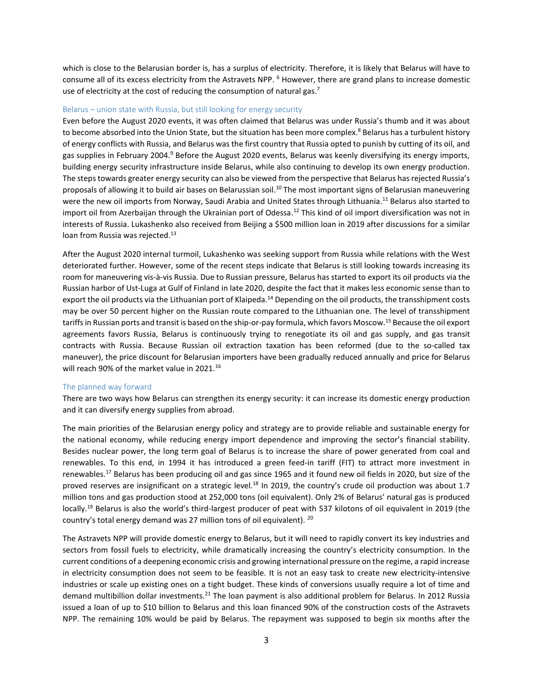which is close to the Belarusian border is, has a surplus of electricity. Therefore, it is likely that Belarus will have to consume all of its excess electricity from the Astravets NPP. <sup>6</sup> However, there are grand plans to increase domestic use of electricity at the cost of reducing the consumption of natural gas.<sup>7</sup>

#### Belarus – union state with Russia, but still looking for energy security

Even before the August 2020 events, it was often claimed that Belarus was under Russia's thumb and it was about to become absorbed into the Union State, but the situation has been more complex.<sup>8</sup> Belarus has a turbulent history of energy conflicts with Russia, and Belarus was the first country that Russia opted to punish by cutting of its oil, and gas supplies in February 2004.<sup>9</sup> Before the August 2020 events, Belarus was keenly diversifying its energy imports, building energy security infrastructure inside Belarus, while also continuing to develop its own energy production. The steps towards greater energy security can also be viewed from the perspective that Belarus has rejected Russia's proposals of allowing it to build air bases on Belarussian soil.<sup>10</sup> The most important signs of Belarusian maneuvering were the new oil imports from Norway, Saudi Arabia and United States through Lithuania.<sup>11</sup> Belarus also started to import oil from Azerbaijan through the Ukrainian port of Odessa.<sup>12</sup> This kind of oil import diversification was not in interests of Russia. Lukashenko also received from Beijing a \$500 million loan in 2019 after discussions for a similar loan from Russia was rejected.<sup>13</sup>

After the August 2020 internal turmoil, Lukashenko was seeking support from Russia while relations with the West deteriorated further. However, some of the recent steps indicate that Belarus is still looking towards increasing its room for maneuvering vis-à-vis Russia. Due to Russian pressure, Belarus has started to export its oil products via the Russian harbor of Ust-Luga at Gulf of Finland in late 2020, despite the fact that it makes less economic sense than to export the oil products via the Lithuanian port of Klaipeda.<sup>14</sup> Depending on the oil products, the transshipment costs may be over 50 percent higher on the Russian route compared to the Lithuanian one. The level of transshipment tariffs in Russian ports and transit is based on the ship-or-pay formula, which favors Moscow.<sup>15</sup> Because the oil export agreements favors Russia, Belarus is continuously trying to renegotiate its oil and gas supply, and gas transit contracts with Russia. Because Russian oil extraction taxation has been reformed (due to the so-called tax maneuver), the price discount for Belarusian importers have been gradually reduced annually and price for Belarus will reach 90% of the market value in 2021.<sup>16</sup>

#### The planned way forward

There are two ways how Belarus can strengthen its energy security: it can increase its domestic energy production and it can diversify energy supplies from abroad.

The main priorities of the Belarusian energy policy and strategy are to provide reliable and sustainable energy for the national economy, while reducing energy import dependence and improving the sector's financial stability. Besides nuclear power, the long term goal of Belarus is to increase the share of power generated from coal and renewables. To this end, in 1994 it has introduced a green feed-in tariff (FIT) to attract more investment in renewables.<sup>17</sup> Belarus has been producing oil and gas since 1965 and it found new oil fields in 2020, but size of the proved reserves are insignificant on a strategic level.<sup>18</sup> In 2019, the country's crude oil production was about 1.7 million tons and gas production stood at 252,000 tons (oil equivalent). Only 2% of Belarus' natural gas is produced locally.<sup>19</sup> Belarus is also the world's third-largest producer of peat with 537 kilotons of oil equivalent in 2019 (the country's total energy demand was 27 million tons of oil equivalent). <sup>20</sup>

The Astravets NPP will provide domestic energy to Belarus, but it will need to rapidly convert its key industries and sectors from fossil fuels to electricity, while dramatically increasing the country's electricity consumption. In the current conditions of a deepening economic crisis and growing international pressure on the regime, a rapid increase in electricity consumption does not seem to be feasible. It is not an easy task to create new electricity-intensive industries or scale up existing ones on a tight budget. These kinds of conversions usually require a lot of time and demand multibillion dollar investments.<sup>21</sup> The loan payment is also additional problem for Belarus. In 2012 Russia issued a loan of up to \$10 billion to Belarus and this loan financed 90% of the construction costs of the Astravets NPP. The remaining 10% would be paid by Belarus. The repayment was supposed to begin six months after the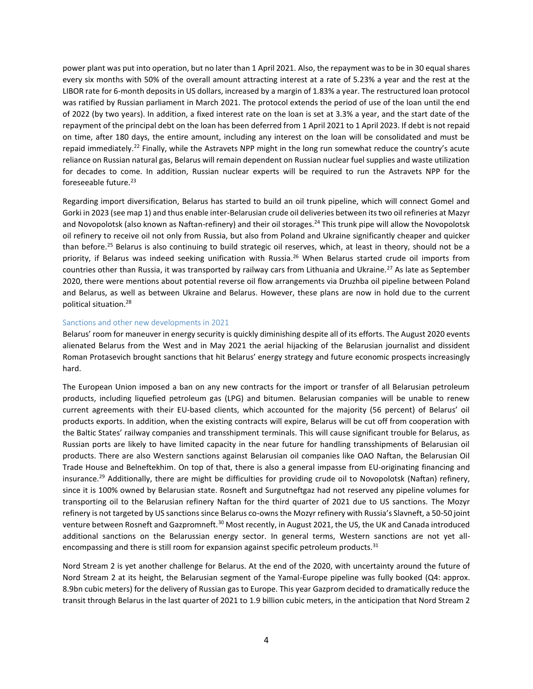power plant was put into operation, but no later than 1 April 2021. Also, the repayment was to be in 30 equal shares every six months with 50% of the overall amount attracting interest at a rate of 5.23% a year and the rest at the LIBOR rate for 6-month deposits in US dollars, increased by a margin of 1.83% a year. The restructured loan protocol was ratified by Russian parliament in March 2021. The protocol extends the period of use of the loan until the end of 2022 (by two years). In addition, a fixed interest rate on the loan is set at 3.3% a year, and the start date of the repayment of the principal debt on the loan has been deferred from 1 April 2021 to 1 April 2023. If debt is not repaid on time, after 180 days, the entire amount, including any interest on the loan will be consolidated and must be repaid immediately.<sup>22</sup> Finally, while the Astravets NPP might in the long run somewhat reduce the country's acute reliance on Russian natural gas, Belarus will remain dependent on Russian nuclear fuel supplies and waste utilization for decades to come. In addition, Russian nuclear experts will be required to run the Astravets NPP for the foreseeable future. $23$ 

Regarding import diversification, Belarus has started to build an oil trunk pipeline, which will connect Gomel and Gorki in 2023 (see map 1) and thus enable inter-Belarusian crude oil deliveries between its two oil refineries at Mazyr and Novopolotsk (also known as Naftan-refinery) and their oil storages.<sup>24</sup> This trunk pipe will allow the Novopolotsk oil refinery to receive oil not only from Russia, but also from Poland and Ukraine significantly cheaper and quicker than before.<sup>25</sup> Belarus is also continuing to build strategic oil reserves, which, at least in theory, should not be a priority, if Belarus was indeed seeking unification with Russia.<sup>26</sup> When Belarus started crude oil imports from countries other than Russia, it was transported by railway cars from Lithuania and Ukraine.<sup>27</sup> As late as September 2020, there were mentions about potential reverse oil flow arrangements via Druzhba oil pipeline between Poland and Belarus, as well as between Ukraine and Belarus. However, these plans are now in hold due to the current political situation. 28

#### Sanctions and other new developments in 2021

Belarus' room for maneuver in energy security is quickly diminishing despite all of its efforts. The August 2020 events alienated Belarus from the West and in May 2021 the aerial hijacking of the Belarusian journalist and dissident Roman Protasevich brought sanctions that hit Belarus' energy strategy and future economic prospects increasingly hard.

The European Union imposed a ban on any new contracts for the import or transfer of all Belarusian petroleum products, including liquefied petroleum gas (LPG) and bitumen. Belarusian companies will be unable to renew current agreements with their EU-based clients, which accounted for the majority (56 percent) of Belarus' oil products exports. In addition, when the existing contracts will expire, Belarus will be cut off from cooperation with the Baltic States' railway companies and transshipment terminals. This will cause significant trouble for Belarus, as Russian ports are likely to have limited capacity in the near future for handling transshipments of Belarusian oil products. There are also Western sanctions against Belarusian oil companies like OAO Naftan, the Belarusian Oil Trade House and Belneftekhim. On top of that, there is also a general impasse from EU-originating financing and insurance.<sup>29</sup> Additionally, there are might be difficulties for providing crude oil to Novopolotsk (Naftan) refinery, since it is 100% owned by Belarusian state. Rosneft and Surgutneftgaz had not reserved any pipeline volumes for transporting oil to the Belarusian refinery Naftan for the third quarter of 2021 due to US sanctions. The Mozyr refinery is not targeted by US sanctions since Belarus co-owns the Mozyr refinery with Russia's Slavneft, a 50-50 joint venture between Rosneft and Gazpromneft.<sup>30</sup> Most recently, in August 2021, the US, the UK and Canada introduced additional sanctions on the Belarussian energy sector. In general terms, Western sanctions are not yet allencompassing and there is still room for expansion against specific petroleum products.<sup>31</sup>

Nord Stream 2 is yet another challenge for Belarus. At the end of the 2020, with uncertainty around the future of Nord Stream 2 at its height, the Belarusian segment of the Yamal-Europe pipeline was fully booked (Q4: approx. 8.9bn cubic meters) for the delivery of Russian gas to Europe. This year Gazprom decided to dramatically reduce the transit through Belarus in the last quarter of 2021 to 1.9 billion cubic meters, in the anticipation that Nord Stream 2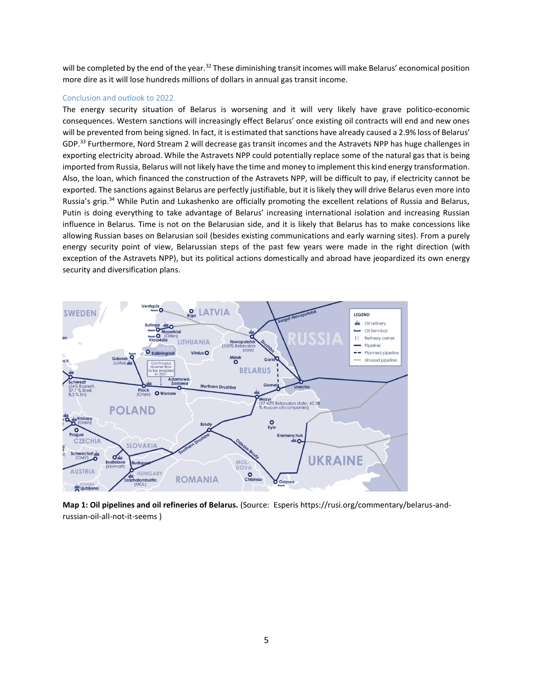will be completed by the end of the year.<sup>32</sup> These diminishing transit incomes will make Belarus' economical position more dire as it will lose hundreds millions of dollars in annual gas transit income.

### Conclusion and outlook to 2022

The energy security situation of Belarus is worsening and it will very likely have grave politico-economic consequences. Western sanctions will increasingly effect Belarus' once existing oil contracts will end and new ones will be prevented from being signed. In fact, it is estimated that sanctions have already caused a 2.9% loss of Belarus' GDP.<sup>33</sup> Furthermore, Nord Stream 2 will decrease gas transit incomes and the Astravets NPP has huge challenges in exporting electricity abroad. While the Astravets NPP could potentially replace some of the natural gas that is being imported from Russia, Belarus will not likely have the time and money to implement this kind energy transformation. Also, the loan, which financed the construction of the Astravets NPP, will be difficult to pay, if electricity cannot be exported. The sanctions against Belarus are perfectly justifiable, but it is likely they will drive Belarus even more into Russia's grip.<sup>34</sup> While Putin and Lukashenko are officially promoting the excellent relations of Russia and Belarus, Putin is doing everything to take advantage of Belarus' increasing international isolation and increasing Russian influence in Belarus. Time is not on the Belarusian side, and it is likely that Belarus has to make concessions like allowing Russian bases on Belarusian soil (besides existing communications and early warning sites). From a purely energy security point of view, Belarussian steps of the past few years were made in the right direction (with exception of the Astravets NPP), but its political actions domestically and abroad have jeopardized its own energy security and diversification plans.



**Map 1: Oil pipelines and oil refineries of Belarus.** (Source: Esperis https://rusi.org/commentary/belarus-andrussian-oil-all-not-it-seems )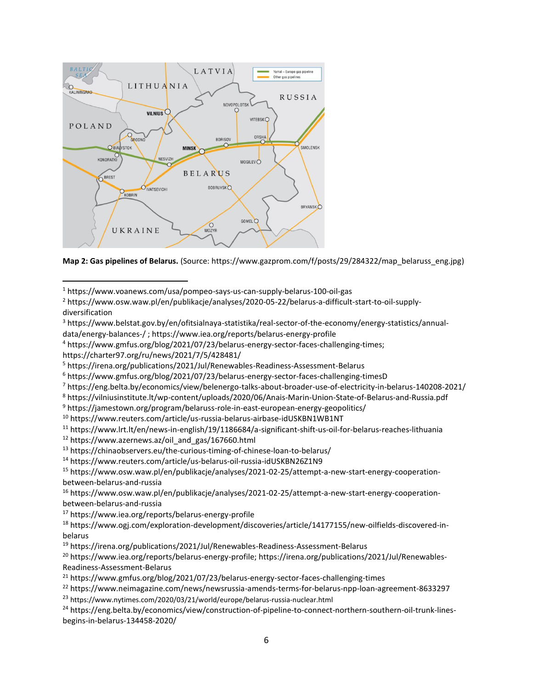

**Map 2: Gas pipelines of Belarus.** (Source: https://www.gazprom.com/f/posts/29/284322/map\_belaruss\_eng.jpg)

- <sup>3</sup> https://www.belstat.gov.by/en/ofitsialnaya-statistika/real-sector-of-the-economy/energy-statistics/annualdata/energy-balances-/ ; https://www.iea.org/reports/belarus-energy-profile
- <sup>4</sup> https://www.gmfus.org/blog/2021/07/23/belarus-energy-sector-faces-challenging-times;

 $\overline{\phantom{a}}$ 

<sup>7</sup> https://eng.belta.by/economics/view/belenergo-talks-about-broader-use-of-electricity-in-belarus-140208-2021/

```
8 https://vilniusinstitute.lt/wp-content/uploads/2020/06/Anais-Marin-Union-State-of-Belarus-and-Russia.pdf
```
<sup>9</sup> https://jamestown.org/program/belaruss-role-in-east-european-energy-geopolitics/

<sup>10</sup> https://www.reuters.com/article/us-russia-belarus-airbase-idUSKBN1WB1NT

- <sup>11</sup> https://www.lrt.lt/en/news-in-english/19/1186684/a-significant-shift-us-oil-for-belarus-reaches-lithuania
- <sup>12</sup> https://www.azernews.az/oil\_and\_gas/167660.html
- <sup>13</sup> https://chinaobservers.eu/the-curious-timing-of-chinese-loan-to-belarus/
- <sup>14</sup> https://www.reuters.com/article/us-belarus-oil-russia-idUSKBN26Z1N9

<sup>15</sup> https://www.osw.waw.pl/en/publikacje/analyses/2021-02-25/attempt-a-new-start-energy-cooperationbetween-belarus-and-russia

<sup>16</sup> https://www.osw.waw.pl/en/publikacje/analyses/2021-02-25/attempt-a-new-start-energy-cooperationbetween-belarus-and-russia

<sup>17</sup> https://www.iea.org/reports/belarus-energy-profile

<sup>18</sup> https://www.ogj.com/exploration-development/discoveries/article/14177155/new-oilfields-discovered-inbelarus

<sup>19</sup> https://irena.org/publications/2021/Jul/Renewables-Readiness-Assessment-Belarus

<sup>20</sup> https://www.iea.org/reports/belarus-energy-profile; https://irena.org/publications/2021/Jul/Renewables-Readiness-Assessment-Belarus

- <sup>21</sup> https://www.gmfus.org/blog/2021/07/23/belarus-energy-sector-faces-challenging-times
- <sup>22</sup> https://www.neimagazine.com/news/newsrussia-amends-terms-for-belarus-npp-loan-agreement-8633297
- <sup>23</sup> https://www.nytimes.com/2020/03/21/world/europe/belarus-russia-nuclear.html

<sup>24</sup> https://eng.belta.by/economics/view/construction-of-pipeline-to-connect-northern-southern-oil-trunk-linesbegins-in-belarus-134458-2020/

<sup>1</sup> https://www.voanews.com/usa/pompeo-says-us-can-supply-belarus-100-oil-gas

<sup>2</sup> https://www.osw.waw.pl/en/publikacje/analyses/2020-05-22/belarus-a-difficult-start-to-oil-supplydiversification

https://charter97.org/ru/news/2021/7/5/428481/

<sup>5</sup> https://irena.org/publications/2021/Jul/Renewables-Readiness-Assessment-Belarus

<sup>6</sup> https://www.gmfus.org/blog/2021/07/23/belarus-energy-sector-faces-challenging-timesD